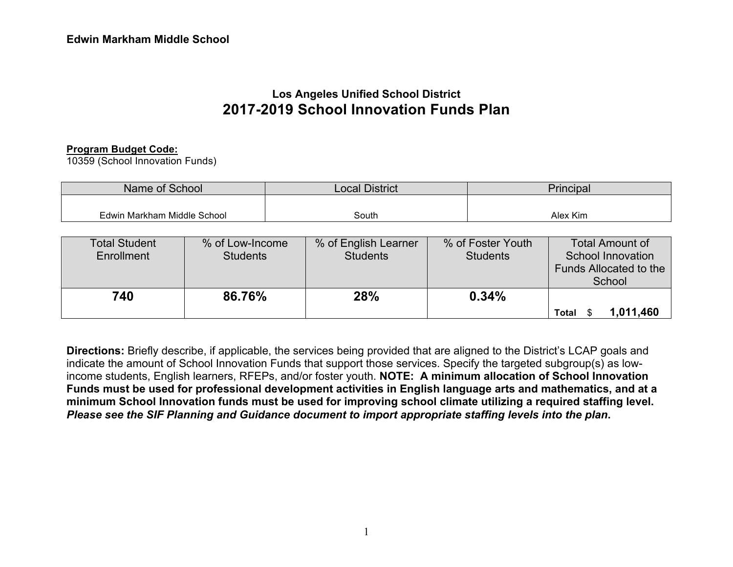# **Los Angeles Unified School District 2017-2019 School Innovation Funds Plan**

#### **Program Budget Code:**

10359 (School Innovation Funds)

| Name of School              | <b>Local District</b> | <b>Principal</b> |
|-----------------------------|-----------------------|------------------|
|                             |                       |                  |
| Edwin Markham Middle School | South                 | Alex Kim         |

| <b>Total Student</b><br>Enrollment | % of Low-Income<br><b>Students</b> | % of English Learner<br><b>Students</b> | % of Foster Youth<br><b>Students</b> | Total Amount of<br><b>School Innovation</b><br>Funds Allocated to the<br>School |
|------------------------------------|------------------------------------|-----------------------------------------|--------------------------------------|---------------------------------------------------------------------------------|
| 740                                | 86.76%                             | <b>28%</b>                              | 0.34%                                | 1,011,460<br>Total                                                              |

**Directions:** Briefly describe, if applicable, the services being provided that are aligned to the District's LCAP goals and indicate the amount of School Innovation Funds that support those services. Specify the targeted subgroup(s) as lowincome students, English learners, RFEPs, and/or foster youth. **NOTE: A minimum allocation of School Innovation Funds must be used for professional development activities in English language arts and mathematics, and at a minimum School Innovation funds must be used for improving school climate utilizing a required staffing level.**  *Please see the SIF Planning and Guidance document to import appropriate staffing levels into the plan***.**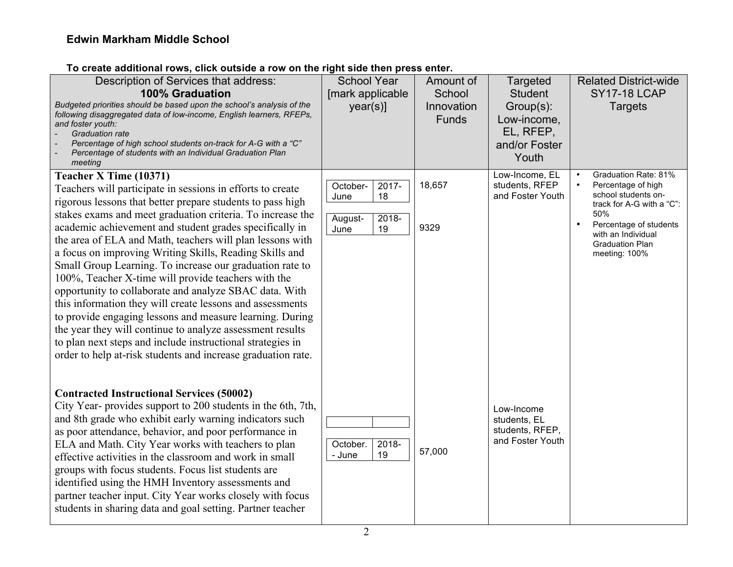#### **To create additional rows, click outside a row on the right side then press enter.**

| To create additional rows, click outside a row on the right side then press enter.                                                                                                                                                                                                                                                     |                     |                            |                                                                 |                                                        |
|----------------------------------------------------------------------------------------------------------------------------------------------------------------------------------------------------------------------------------------------------------------------------------------------------------------------------------------|---------------------|----------------------------|-----------------------------------------------------------------|--------------------------------------------------------|
| Description of Services that address:                                                                                                                                                                                                                                                                                                  | <b>School Year</b>  | Amount of                  | Targeted                                                        | <b>Related District-wide</b>                           |
| <b>100% Graduation</b>                                                                                                                                                                                                                                                                                                                 | [mark applicable    | School                     | <b>Student</b>                                                  | <b>SY17-18 LCAP</b>                                    |
| Budgeted priorities should be based upon the school's analysis of the<br>following disaggregated data of low-income, English learners, RFEPs,<br>and foster youth:<br><b>Graduation rate</b><br>Percentage of high school students on-track for A-G with a "C"<br>Percentage of students with an Individual Graduation Plan<br>meeting | $year(s)$ ]         | Innovation<br><b>Funds</b> | Group(s):<br>Low-income,<br>EL, RFEP,<br>and/or Foster<br>Youth | <b>Targets</b>                                         |
| Teacher X Time (10371)                                                                                                                                                                                                                                                                                                                 |                     |                            | Low-Income, EL                                                  | Graduation Rate: 81%                                   |
| Teachers will participate in sessions in efforts to create                                                                                                                                                                                                                                                                             | October-<br>2017-   | 18,657                     | students, RFEP                                                  | Percentage of high<br>$\bullet$<br>school students on- |
| rigorous lessons that better prepare students to pass high                                                                                                                                                                                                                                                                             | June<br>18          |                            | and Foster Youth                                                | track for A-G with a "C":                              |
| stakes exams and meet graduation criteria. To increase the                                                                                                                                                                                                                                                                             | $2018 -$<br>August- |                            |                                                                 | 50%                                                    |
| academic achievement and student grades specifically in                                                                                                                                                                                                                                                                                | June<br>19          | 9329                       |                                                                 | Percentage of students<br>with an Individual           |
| the area of ELA and Math, teachers will plan lessons with                                                                                                                                                                                                                                                                              |                     |                            |                                                                 | <b>Graduation Plan</b>                                 |
| a focus on improving Writing Skills, Reading Skills and                                                                                                                                                                                                                                                                                |                     |                            |                                                                 | meeting: 100%                                          |
| Small Group Learning. To increase our graduation rate to<br>100%, Teacher X-time will provide teachers with the                                                                                                                                                                                                                        |                     |                            |                                                                 |                                                        |
| opportunity to collaborate and analyze SBAC data. With                                                                                                                                                                                                                                                                                 |                     |                            |                                                                 |                                                        |
| this information they will create lessons and assessments                                                                                                                                                                                                                                                                              |                     |                            |                                                                 |                                                        |
| to provide engaging lessons and measure learning. During                                                                                                                                                                                                                                                                               |                     |                            |                                                                 |                                                        |
| the year they will continue to analyze assessment results                                                                                                                                                                                                                                                                              |                     |                            |                                                                 |                                                        |
| to plan next steps and include instructional strategies in                                                                                                                                                                                                                                                                             |                     |                            |                                                                 |                                                        |
| order to help at-risk students and increase graduation rate.                                                                                                                                                                                                                                                                           |                     |                            |                                                                 |                                                        |
|                                                                                                                                                                                                                                                                                                                                        |                     |                            |                                                                 |                                                        |
|                                                                                                                                                                                                                                                                                                                                        |                     |                            |                                                                 |                                                        |
| <b>Contracted Instructional Services (50002)</b>                                                                                                                                                                                                                                                                                       |                     |                            |                                                                 |                                                        |
| City Year-provides support to 200 students in the 6th, 7th,<br>and 8th grade who exhibit early warning indicators such                                                                                                                                                                                                                 |                     |                            | Low-Income<br>students, EL                                      |                                                        |
| as poor attendance, behavior, and poor performance in                                                                                                                                                                                                                                                                                  |                     |                            | students, RFEP,                                                 |                                                        |
| ELA and Math. City Year works with teachers to plan                                                                                                                                                                                                                                                                                    | 2018-<br>October.   |                            | and Foster Youth                                                |                                                        |
| effective activities in the classroom and work in small                                                                                                                                                                                                                                                                                | 19<br>- June        | 57,000                     |                                                                 |                                                        |
| groups with focus students. Focus list students are                                                                                                                                                                                                                                                                                    |                     |                            |                                                                 |                                                        |
| identified using the HMH Inventory assessments and                                                                                                                                                                                                                                                                                     |                     |                            |                                                                 |                                                        |
| partner teacher input. City Year works closely with focus                                                                                                                                                                                                                                                                              |                     |                            |                                                                 |                                                        |
| students in sharing data and goal setting. Partner teacher                                                                                                                                                                                                                                                                             |                     |                            |                                                                 |                                                        |
|                                                                                                                                                                                                                                                                                                                                        |                     |                            |                                                                 |                                                        |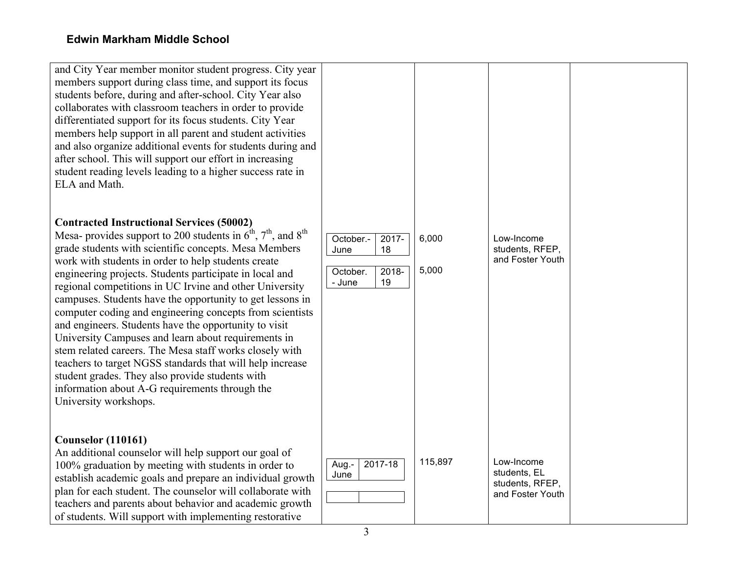| and City Year member monitor student progress. City year<br>members support during class time, and support its focus<br>students before, during and after-school. City Year also<br>collaborates with classroom teachers in order to provide<br>differentiated support for its focus students. City Year<br>members help support in all parent and student activities<br>and also organize additional events for students during and<br>after school. This will support our effort in increasing<br>student reading levels leading to a higher success rate in<br>ELA and Math.                                                                                                                                                                                                                                                                                                            |                                                                          |                |                                                                   |  |
|--------------------------------------------------------------------------------------------------------------------------------------------------------------------------------------------------------------------------------------------------------------------------------------------------------------------------------------------------------------------------------------------------------------------------------------------------------------------------------------------------------------------------------------------------------------------------------------------------------------------------------------------------------------------------------------------------------------------------------------------------------------------------------------------------------------------------------------------------------------------------------------------|--------------------------------------------------------------------------|----------------|-------------------------------------------------------------------|--|
| <b>Contracted Instructional Services (50002)</b><br>Mesa- provides support to 200 students in $6^{\text{th}}$ , $7^{\text{th}}$ , and $8^{\text{th}}$<br>grade students with scientific concepts. Mesa Members<br>work with students in order to help students create<br>engineering projects. Students participate in local and<br>regional competitions in UC Irvine and other University<br>campuses. Students have the opportunity to get lessons in<br>computer coding and engineering concepts from scientists<br>and engineers. Students have the opportunity to visit<br>University Campuses and learn about requirements in<br>stem related careers. The Mesa staff works closely with<br>teachers to target NGSS standards that will help increase<br>student grades. They also provide students with<br>information about A-G requirements through the<br>University workshops. | October.-<br>$2017 -$<br>18<br>June<br>2018-<br>October.<br>19<br>- June | 6,000<br>5,000 | Low-Income<br>students, RFEP,<br>and Foster Youth                 |  |
| <b>Counselor (110161)</b><br>An additional counselor will help support our goal of<br>100% graduation by meeting with students in order to<br>establish academic goals and prepare an individual growth<br>plan for each student. The counselor will collaborate with<br>teachers and parents about behavior and academic growth<br>of students. Will support with implementing restorative                                                                                                                                                                                                                                                                                                                                                                                                                                                                                                | 2017-18<br>Aug.-<br>June                                                 | 115,897        | Low-Income<br>students, EL<br>students, RFEP,<br>and Foster Youth |  |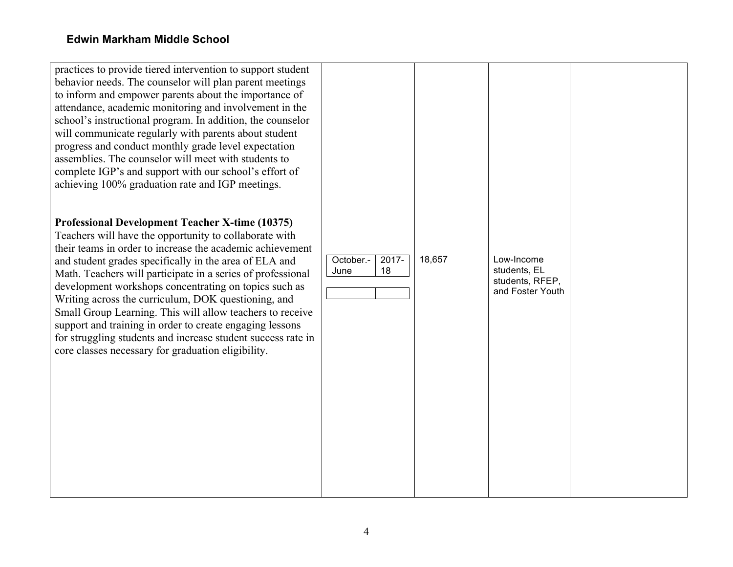practices to provide tiered intervention to support student behavior needs. The counselor will plan parent meetings to inform and empower parents about the importance of attendance, academic monitoring and involvement in the school's instructional program. In addition, the counselor will communicate regularly with parents about student progress and conduct monthly grade level expectation assemblies. The counselor will meet with students to complete IGP's and support with our school's effort of achieving 100% graduation rate and IGP meetings. **Professional Development Teacher X-time (10375)** Teachers will have the opportunity to collaborate with their teams in order to increase the academic achievement and student grades specifically in the area of ELA and Math. Teachers will participate in a series of professional development workshops concentrating on topics such as Writing across the curriculum, DOK questioning, and Small Group Learning. This will allow teachers to receive support and training in order to create engaging lessons for struggling students and increase student success rate in core classes necessary for graduation eligibility. October.- June 2017- 18 18,657 Low-Income students, EL students, RFEP, and Foster Youth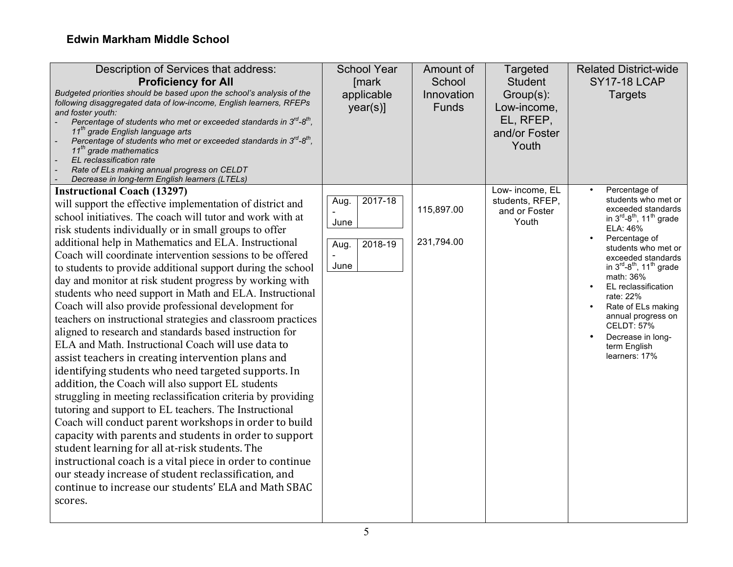| Description of Services that address:<br><b>Proficiency for All</b><br>Budgeted priorities should be based upon the school's analysis of the<br>following disaggregated data of low-income, English learners, RFEPs<br>and foster youth:<br>Percentage of students who met or exceeded standards in $3^{rd}$ - $8^{th}$ ,<br>11 <sup>th</sup> grade English language arts<br>Percentage of students who met or exceeded standards in $3^{rd}$ -8 <sup>th</sup> ,<br>11 <sup>th</sup> grade mathematics<br>EL reclassification rate<br>Rate of ELs making annual progress on CELDT<br>Decrease in long-term English learners (LTELs)                                                                                                                                                                                                                                                                                                                                                                                                                                                                                                                                                                                                                                                                                                                                                                                                   | <b>School Year</b><br>[mark<br>applicable<br>year(s)] | Amount of<br>School<br>Innovation<br>Funds | Targeted<br><b>Student</b><br>Group(s):<br>Low-income,<br>EL, RFEP,<br>and/or Foster<br>Youth | <b>Related District-wide</b><br><b>SY17-18 LCAP</b><br><b>Targets</b>                                                                                                                                                                                                                                                                                                                                          |
|---------------------------------------------------------------------------------------------------------------------------------------------------------------------------------------------------------------------------------------------------------------------------------------------------------------------------------------------------------------------------------------------------------------------------------------------------------------------------------------------------------------------------------------------------------------------------------------------------------------------------------------------------------------------------------------------------------------------------------------------------------------------------------------------------------------------------------------------------------------------------------------------------------------------------------------------------------------------------------------------------------------------------------------------------------------------------------------------------------------------------------------------------------------------------------------------------------------------------------------------------------------------------------------------------------------------------------------------------------------------------------------------------------------------------------------|-------------------------------------------------------|--------------------------------------------|-----------------------------------------------------------------------------------------------|----------------------------------------------------------------------------------------------------------------------------------------------------------------------------------------------------------------------------------------------------------------------------------------------------------------------------------------------------------------------------------------------------------------|
| <b>Instructional Coach (13297)</b><br>will support the effective implementation of district and<br>school initiatives. The coach will tutor and work with at<br>risk students individually or in small groups to offer<br>additional help in Mathematics and ELA. Instructional<br>Coach will coordinate intervention sessions to be offered<br>to students to provide additional support during the school<br>day and monitor at risk student progress by working with<br>students who need support in Math and ELA. Instructional<br>Coach will also provide professional development for<br>teachers on instructional strategies and classroom practices<br>aligned to research and standards based instruction for<br>ELA and Math. Instructional Coach will use data to<br>assist teachers in creating intervention plans and<br>identifying students who need targeted supports. In<br>addition, the Coach will also support EL students<br>struggling in meeting reclassification criteria by providing<br>tutoring and support to EL teachers. The Instructional<br>Coach will conduct parent workshops in order to build<br>capacity with parents and students in order to support<br>student learning for all at-risk students. The<br>instructional coach is a vital piece in order to continue<br>our steady increase of student reclassification, and<br>continue to increase our students' ELA and Math SBAC<br>scores. | 2017-18<br>Aug.<br>June<br>2018-19<br>Aug.<br>June    | 115,897.00<br>231,794.00                   | Low- income, EL<br>students, RFEP,<br>and or Foster<br>Youth                                  | Percentage of<br>students who met or<br>exceeded standards<br>in $3^{rd} - 8^{th}$ , 11 <sup>th</sup> grade<br>ELA: 46%<br>Percentage of<br>students who met or<br>exceeded standards<br>in $3^{rd} - 8^{th}$ , 11 <sup>th</sup> grade<br>math: 36%<br>EL reclassification<br>rate: 22%<br>Rate of ELs making<br>annual progress on<br><b>CELDT: 57%</b><br>Decrease in long-<br>term English<br>learners: 17% |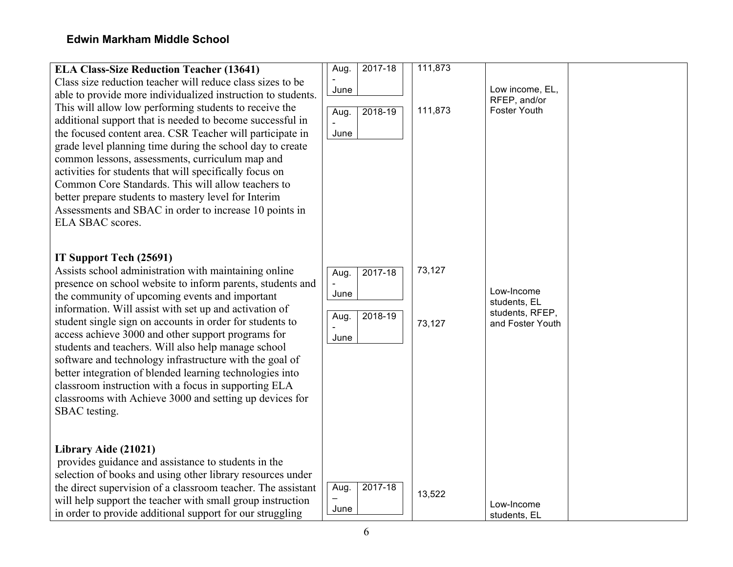| <b>ELA Class-Size Reduction Teacher (13641)</b><br>Class size reduction teacher will reduce class sizes to be<br>able to provide more individualized instruction to students.<br>This will allow low performing students to receive the<br>additional support that is needed to become successful in<br>the focused content area. CSR Teacher will participate in<br>grade level planning time during the school day to create<br>common lessons, assessments, curriculum map and<br>activities for students that will specifically focus on<br>Common Core Standards. This will allow teachers to<br>better prepare students to mastery level for Interim<br>Assessments and SBAC in order to increase 10 points in<br>ELA SBAC scores. | $2017 - 18$<br>Aug.<br>June<br>2018-19<br>Aug.<br>June | 111,873<br>111,873 | Low income, EL,<br>RFEP, and/or<br><b>Foster Youth</b>            |
|------------------------------------------------------------------------------------------------------------------------------------------------------------------------------------------------------------------------------------------------------------------------------------------------------------------------------------------------------------------------------------------------------------------------------------------------------------------------------------------------------------------------------------------------------------------------------------------------------------------------------------------------------------------------------------------------------------------------------------------|--------------------------------------------------------|--------------------|-------------------------------------------------------------------|
| IT Support Tech (25691)<br>Assists school administration with maintaining online<br>presence on school website to inform parents, students and<br>the community of upcoming events and important<br>information. Will assist with set up and activation of<br>student single sign on accounts in order for students to<br>access achieve 3000 and other support programs for<br>students and teachers. Will also help manage school<br>software and technology infrastructure with the goal of<br>better integration of blended learning technologies into<br>classroom instruction with a focus in supporting ELA<br>classrooms with Achieve 3000 and setting up devices for<br>SBAC testing.                                           | $2017 - 18$<br>Aug.<br>June<br>2018-19<br>Aug.<br>June | 73,127<br>73,127   | Low-Income<br>students, EL<br>students, RFEP,<br>and Foster Youth |
| Library Aide (21021)<br>provides guidance and assistance to students in the<br>selection of books and using other library resources under<br>the direct supervision of a classroom teacher. The assistant<br>will help support the teacher with small group instruction<br>in order to provide additional support for our struggling                                                                                                                                                                                                                                                                                                                                                                                                     | Aug.<br>2017-18<br>June                                | 13,522             | Low-Income<br>students. EL                                        |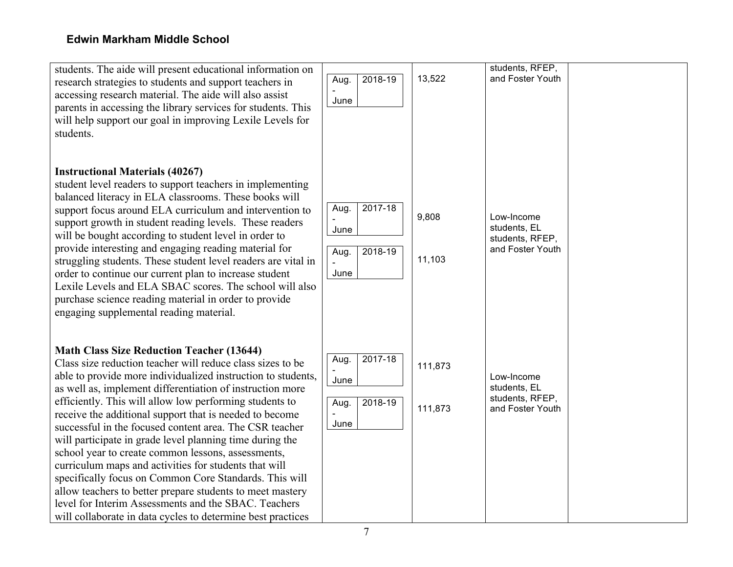| students. The aide will present educational information on<br>research strategies to students and support teachers in<br>accessing research material. The aide will also assist<br>parents in accessing the library services for students. This<br>will help support our goal in improving Lexile Levels for<br>students.                                                                                                                                                                                                                                                                                                                                                                                                                                                                                                                             | 2018-19<br>Aug.<br>June                            | 13,522             | students, RFEP,<br>and Foster Youth                               |  |
|-------------------------------------------------------------------------------------------------------------------------------------------------------------------------------------------------------------------------------------------------------------------------------------------------------------------------------------------------------------------------------------------------------------------------------------------------------------------------------------------------------------------------------------------------------------------------------------------------------------------------------------------------------------------------------------------------------------------------------------------------------------------------------------------------------------------------------------------------------|----------------------------------------------------|--------------------|-------------------------------------------------------------------|--|
| <b>Instructional Materials (40267)</b><br>student level readers to support teachers in implementing<br>balanced literacy in ELA classrooms. These books will<br>support focus around ELA curriculum and intervention to<br>support growth in student reading levels. These readers<br>will be bought according to student level in order to<br>provide interesting and engaging reading material for<br>struggling students. These student level readers are vital in<br>order to continue our current plan to increase student<br>Lexile Levels and ELA SBAC scores. The school will also<br>purchase science reading material in order to provide<br>engaging supplemental reading material.                                                                                                                                                        | 2017-18<br>Aug.<br>June<br>2018-19<br>Aug.<br>June | 9,808<br>11,103    | Low-Income<br>students, EL<br>students, RFEP,<br>and Foster Youth |  |
| <b>Math Class Size Reduction Teacher (13644)</b><br>Class size reduction teacher will reduce class sizes to be<br>able to provide more individualized instruction to students,<br>as well as, implement differentiation of instruction more<br>efficiently. This will allow low performing students to<br>receive the additional support that is needed to become<br>successful in the focused content area. The CSR teacher<br>will participate in grade level planning time during the<br>school year to create common lessons, assessments,<br>curriculum maps and activities for students that will<br>specifically focus on Common Core Standards. This will<br>allow teachers to better prepare students to meet mastery<br>level for Interim Assessments and the SBAC. Teachers<br>will collaborate in data cycles to determine best practices | 2017-18<br>Aug.<br>June<br>2018-19<br>Aug.<br>June | 111,873<br>111,873 | Low-Income<br>students, EL<br>students, RFEP,<br>and Foster Youth |  |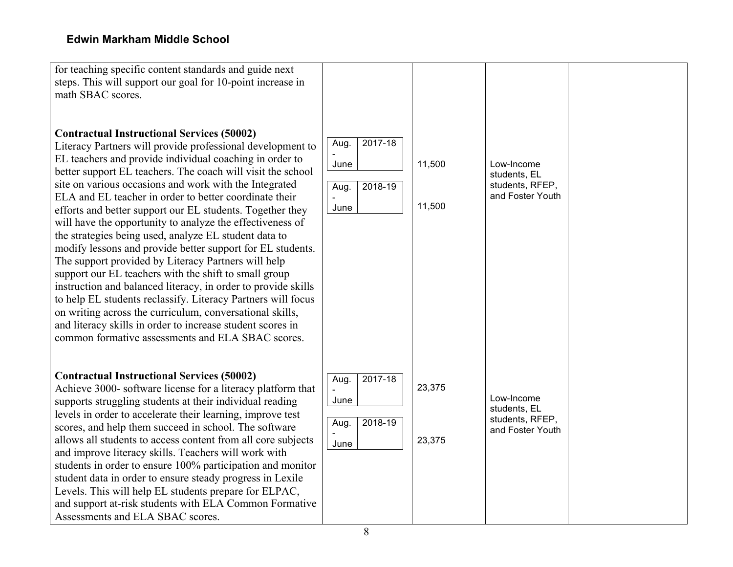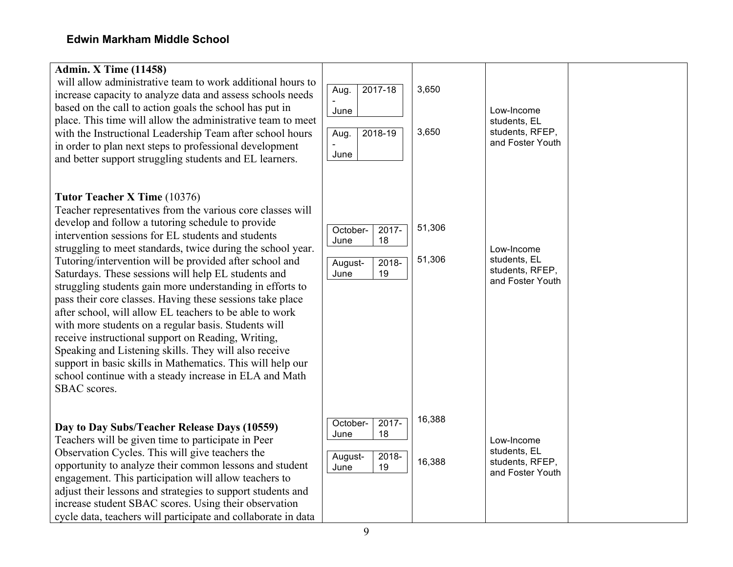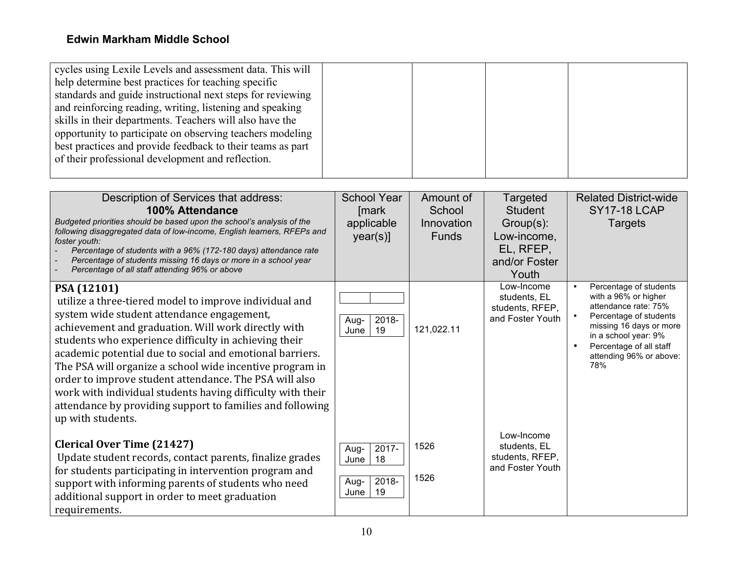| cycles using Lexile Levels and assessment data. This will<br>help determine best practices for teaching specific<br>standards and guide instructional next steps for reviewing<br>and reinforcing reading, writing, listening and speaking<br>skills in their departments. Teachers will also have the<br>opportunity to participate on observing teachers modeling<br>best practices and provide feedback to their teams as part<br>of their professional development and reflection.                                                                                |                                                               |                                                   |                                                                                        |                                                                                                                                                                                                                  |
|-----------------------------------------------------------------------------------------------------------------------------------------------------------------------------------------------------------------------------------------------------------------------------------------------------------------------------------------------------------------------------------------------------------------------------------------------------------------------------------------------------------------------------------------------------------------------|---------------------------------------------------------------|---------------------------------------------------|----------------------------------------------------------------------------------------|------------------------------------------------------------------------------------------------------------------------------------------------------------------------------------------------------------------|
| Description of Services that address:<br>100% Attendance<br>Budgeted priorities should be based upon the school's analysis of the<br>following disaggregated data of low-income, English learners, RFEPs and<br>foster youth:<br>Percentage of students with a 96% (172-180 days) attendance rate<br>Percentage of students missing 16 days or more in a school year<br>Percentage of all staff attending 96% or above                                                                                                                                                | <b>School Year</b><br>[mark<br>applicable<br>year(s)]         | Amount of<br>School<br>Innovation<br><b>Funds</b> | Targeted<br>Student<br>Group(s):<br>Low-income,<br>EL, RFEP,<br>and/or Foster<br>Youth | <b>Related District-wide</b><br><b>SY17-18 LCAP</b><br><b>Targets</b>                                                                                                                                            |
| PSA (12101)<br>utilize a three-tiered model to improve individual and<br>system wide student attendance engagement,<br>achievement and graduation. Will work directly with<br>students who experience difficulty in achieving their<br>academic potential due to social and emotional barriers.<br>The PSA will organize a school wide incentive program in<br>order to improve student attendance. The PSA will also<br>work with individual students having difficulty with their<br>attendance by providing support to families and following<br>up with students. | $2018 -$<br>Aug-<br>19<br>June                                | 121,022.11                                        | Low-Income<br>students, EL<br>students, RFEP,<br>and Foster Youth                      | Percentage of students<br>with a 96% or higher<br>attendance rate: 75%<br>Percentage of students<br>missing 16 days or more<br>in a school year: 9%<br>Percentage of all staff<br>attending 96% or above:<br>78% |
| <b>Clerical Over Time (21427)</b><br>Update student records, contact parents, finalize grades<br>for students participating in intervention program and<br>support with informing parents of students who need<br>additional support in order to meet graduation<br>requirements.                                                                                                                                                                                                                                                                                     | 2017-<br>Aug-<br>18<br>June<br>$2018 -$<br>Aug-<br>19<br>June | 1526<br>1526                                      | Low-Income<br>students, EL<br>students, RFEP,<br>and Foster Youth                      |                                                                                                                                                                                                                  |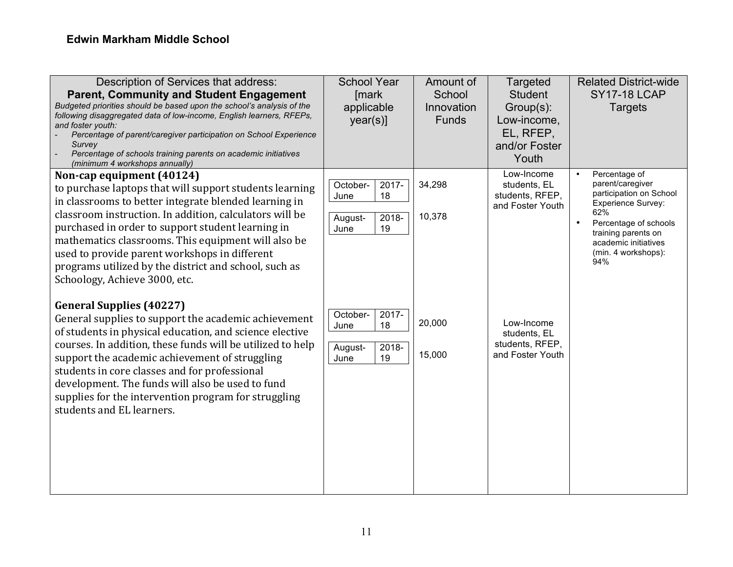| Description of Services that address:<br><b>Parent, Community and Student Engagement</b><br>Budgeted priorities should be based upon the school's analysis of the<br>following disaggregated data of low-income, English learners, RFEPs,<br>and foster youth:<br>Percentage of parent/caregiver participation on School Experience<br>Survey<br>Percentage of schools training parents on academic initiatives<br>(minimum 4 workshops annually)               | <b>School Year</b><br>[mark<br>applicable<br>$year(s)$ ]                | Amount of<br>School<br>Innovation<br><b>Funds</b> | Targeted<br><b>Student</b><br>Group(s):<br>Low-income,<br>EL, RFEP,<br>and/or Foster<br>Youth | <b>Related District-wide</b><br><b>SY17-18 LCAP</b><br><b>Targets</b>                                                                                                                                               |
|-----------------------------------------------------------------------------------------------------------------------------------------------------------------------------------------------------------------------------------------------------------------------------------------------------------------------------------------------------------------------------------------------------------------------------------------------------------------|-------------------------------------------------------------------------|---------------------------------------------------|-----------------------------------------------------------------------------------------------|---------------------------------------------------------------------------------------------------------------------------------------------------------------------------------------------------------------------|
| Non-cap equipment (40124)<br>to purchase laptops that will support students learning<br>in classrooms to better integrate blended learning in<br>classroom instruction. In addition, calculators will be<br>purchased in order to support student learning in<br>mathematics classrooms. This equipment will also be<br>used to provide parent workshops in different<br>programs utilized by the district and school, such as<br>Schoology, Achieve 3000, etc. | $2017 -$<br>October-<br>18<br>June<br>2018-<br>August-<br>19<br>June    | 34,298<br>10,378                                  | Low-Income<br>students, EL<br>students, RFEP,<br>and Foster Youth                             | Percentage of<br>parent/caregiver<br>participation on School<br><b>Experience Survey:</b><br>62%<br>Percentage of schools<br>$\bullet$<br>training parents on<br>academic initiatives<br>(min. 4 workshops):<br>94% |
| <b>General Supplies (40227)</b><br>General supplies to support the academic achievement<br>of students in physical education, and science elective<br>courses. In addition, these funds will be utilized to help<br>support the academic achievement of struggling<br>students in core classes and for professional<br>development. The funds will also be used to fund<br>supplies for the intervention program for struggling<br>students and EL learners.    | October-<br>$2017 -$<br>18<br>June<br>$2018 -$<br>August-<br>19<br>June | 20,000<br>15,000                                  | Low-Income<br>students, EL<br>students, RFEP,<br>and Foster Youth                             |                                                                                                                                                                                                                     |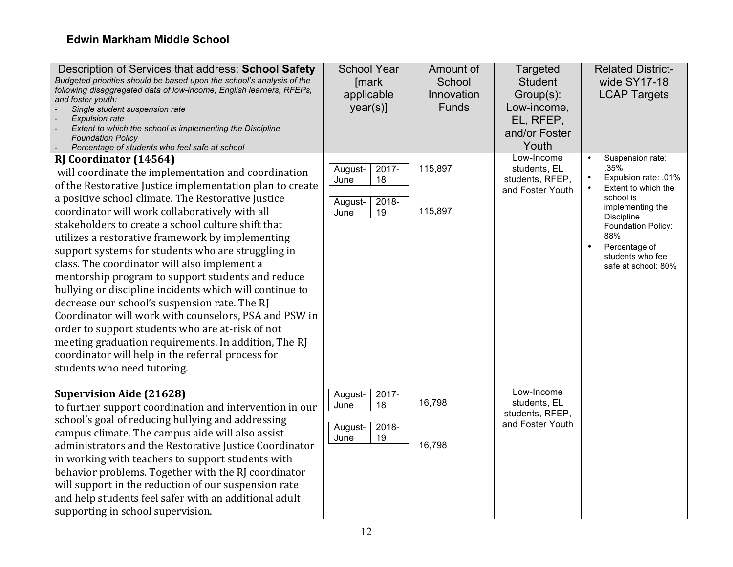| Description of Services that address: School Safety<br>Budgeted priorities should be based upon the school's analysis of the<br>following disaggregated data of low-income, English learners, RFEPs,<br>and foster youth:<br>Single student suspension rate<br><b>Expulsion rate</b><br>Extent to which the school is implementing the Discipline<br><b>Foundation Policy</b><br>Percentage of students who feel safe at school                                                                                                                                                                                                                                                                                                                                                                                                                                                                    | <b>School Year</b><br>[mark]<br>applicable<br>$year(s)$ ]        | Amount of<br>School<br>Innovation<br><b>Funds</b> | Targeted<br><b>Student</b><br>Group(s):<br>Low-income,<br>EL, RFEP,<br>and/or Foster<br>Youth<br>Low-Income | <b>Related District-</b><br>wide SY17-18<br><b>LCAP Targets</b><br>Suspension rate:                                                                                                          |
|----------------------------------------------------------------------------------------------------------------------------------------------------------------------------------------------------------------------------------------------------------------------------------------------------------------------------------------------------------------------------------------------------------------------------------------------------------------------------------------------------------------------------------------------------------------------------------------------------------------------------------------------------------------------------------------------------------------------------------------------------------------------------------------------------------------------------------------------------------------------------------------------------|------------------------------------------------------------------|---------------------------------------------------|-------------------------------------------------------------------------------------------------------------|----------------------------------------------------------------------------------------------------------------------------------------------------------------------------------------------|
| <b>RJ Coordinator (14564)</b><br>will coordinate the implementation and coordination<br>of the Restorative Justice implementation plan to create<br>a positive school climate. The Restorative Justice<br>coordinator will work collaboratively with all<br>stakeholders to create a school culture shift that<br>utilizes a restorative framework by implementing<br>support systems for students who are struggling in<br>class. The coordinator will also implement a<br>mentorship program to support students and reduce<br>bullying or discipline incidents which will continue to<br>decrease our school's suspension rate. The RJ<br>Coordinator will work with counselors, PSA and PSW in<br>order to support students who are at-risk of not<br>meeting graduation requirements. In addition, The RJ<br>coordinator will help in the referral process for<br>students who need tutoring. | 2017-<br>August-<br>18<br>June<br>2018-<br>August-<br>19<br>June | 115,897<br>115,897                                | students, EL<br>students, RFEP,<br>and Foster Youth                                                         | .35%<br>Expulsion rate: .01%<br>Extent to which the<br>school is<br>implementing the<br>Discipline<br>Foundation Policy:<br>88%<br>Percentage of<br>students who feel<br>safe at school: 80% |
| <b>Supervision Aide (21628)</b><br>to further support coordination and intervention in our<br>school's goal of reducing bullying and addressing<br>campus climate. The campus aide will also assist<br>administrators and the Restorative Justice Coordinator<br>in working with teachers to support students with<br>behavior problems. Together with the RJ coordinator<br>will support in the reduction of our suspension rate<br>and help students feel safer with an additional adult<br>supporting in school supervision.                                                                                                                                                                                                                                                                                                                                                                    | 2017-<br>August-<br>18<br>June<br>2018-<br>August-<br>19<br>June | 16,798<br>16,798                                  | Low-Income<br>students, EL<br>students, RFEP,<br>and Foster Youth                                           |                                                                                                                                                                                              |